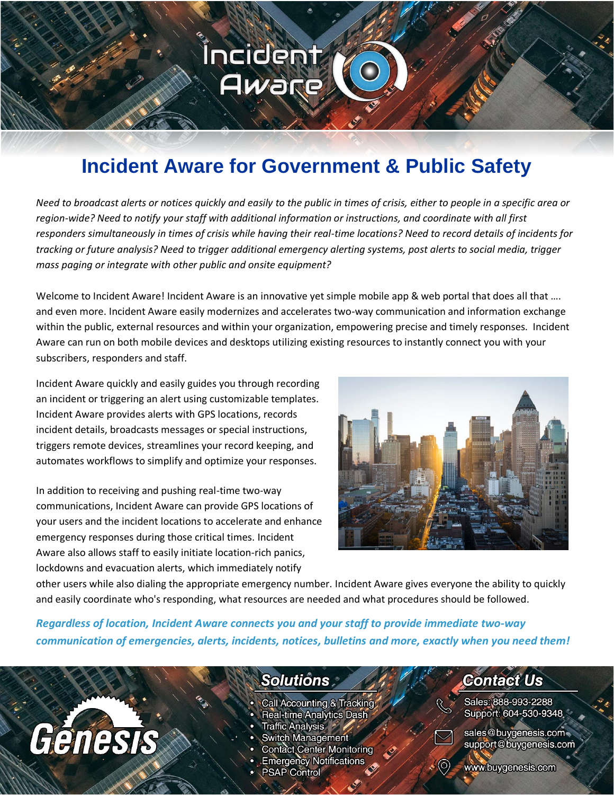# **Incident Aware for Government & Public Safety**

Incident

Aware

*Need to broadcast alerts or notices quickly and easily to the public in times of crisis, either to people in a specific area or region-wide? Need to notify your staff with additional information or instructions, and coordinate with all first responders simultaneously in times of crisis while having their real-time locations? Need to record details of incidents for tracking or future analysis? Need to trigger additional emergency alerting systems, post alerts to social media, trigger mass paging or integrate with other public and onsite equipment?*

Welcome to Incident Aware! Incident Aware is an innovative yet simple mobile app & web portal that does all that .... and even more. Incident Aware easily modernizes and accelerates two-way communication and information exchange within the public, external resources and within your organization, empowering precise and timely responses. Incident Aware can run on both mobile devices and desktops utilizing existing resources to instantly connect you with your subscribers, responders and staff.

Incident Aware quickly and easily guides you through recording an incident or triggering an alert using customizable templates. Incident Aware provides alerts with GPS locations, records incident details, broadcasts messages or special instructions, triggers remote devices, streamlines your record keeping, and automates workflows to simplify and optimize your responses.

In addition to receiving and pushing real-time two-way communications, Incident Aware can provide GPS locations of your users and the incident locations to accelerate and enhance emergency responses during those critical times. Incident Aware also allows staff to easily initiate location-rich panics, lockdowns and evacuation alerts, which immediately notify

Genesis



other users while also dialing the appropriate emergency number. Incident Aware gives everyone the ability to quickly and easily coordinate who's responding, what resources are needed and what procedures should be followed.

*Regardless of location, Incident Aware connects you and your staff to provide immediate two-way communication of emergencies, alerts, incidents, notices, bulletins and more, exactly when you need them!*

## **Solutions**

- Call Accounting & Tracking
- **Real-time Analytics Dash**
- Traffic Analysis \*
- **Switch Management**
- **Contact Center Monitoring**
- **Emergency Notifications**
- **PSAP Control**

## **Contact Us**

Sales: 888-993-2288 Support: 604-530-9348



sales@buygenesis.com support@buygenesis.com

www.buygenesis.com